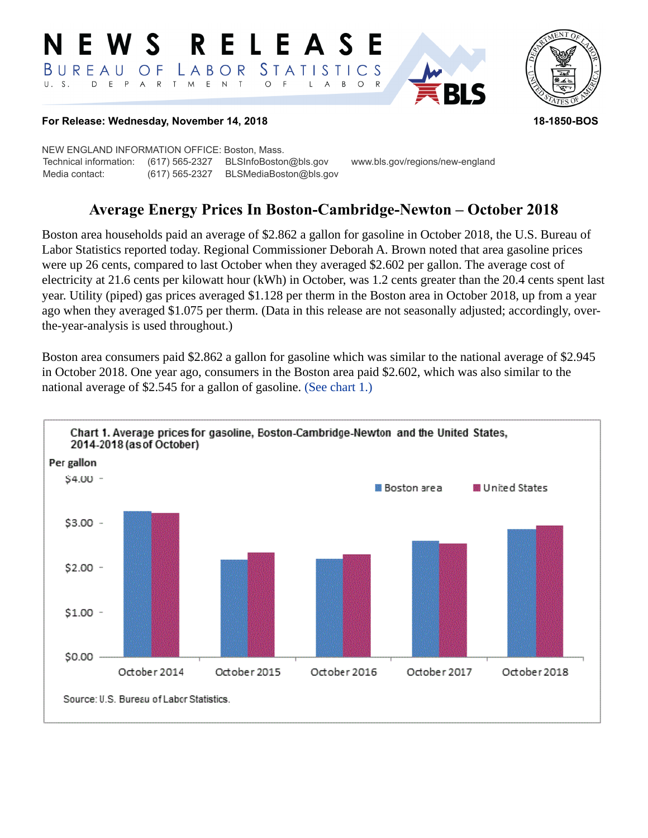#### RELEASE E W S *STATISTICS* BUREAU  $\overline{O}$  F LABOR D E P A R T M E N T  $U. S.$  $\circ$  $\overline{F}$  $\mathsf{L}$  $\overline{A}$  $B$  $\circ$  $\mathsf{R}$



## **For Release: Wednesday, November 14, 2018 18-1850-BOS**

NEW ENGLAND INFORMATION OFFICE: Boston, Mass. Technical information: (617) 565-2327 BLSInfoBoston@bls.gov www.bls.gov/regions/new-england Media contact: (617) 565-2327 BLSMediaBoston@bls.gov

# **Average Energy Prices In Boston-Cambridge-Newton – October 2018**

Boston area households paid an average of \$2.862 a gallon for gasoline in October 2018, the U.S. Bureau of Labor Statistics reported today. Regional Commissioner Deborah A. Brown noted that area gasoline prices were up 26 cents, compared to last October when they averaged \$2.602 per gallon. The average cost of electricity at 21.6 cents per kilowatt hour (kWh) in October, was 1.2 cents greater than the 20.4 cents spent last year. Utility (piped) gas prices averaged \$1.128 per therm in the Boston area in October 2018, up from a year ago when they averaged \$1.075 per therm. (Data in this release are not seasonally adjusted; accordingly, overthe-year-analysis is used throughout.)

Boston area consumers paid \$2.862 a gallon for gasoline which was similar to the national average of \$2.945 in October 2018. One year ago, consumers in the Boston area paid \$2.602, which was also similar to the national average of \$2.545 for a gallon of gasoline. [\(See chart 1.\)](#page-0-0)

<span id="page-0-0"></span>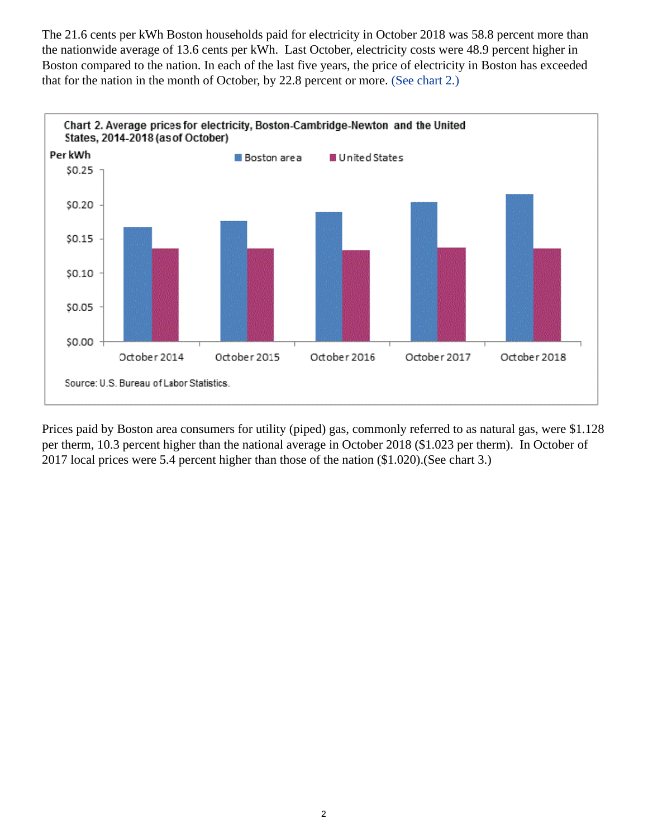The 21.6 cents per kWh Boston households paid for electricity in October 2018 was 58.8 percent more than the nationwide average of 13.6 cents per kWh. Last October, electricity costs were 48.9 percent higher in Boston compared to the nation. In each of the last five years, the price of electricity in Boston has exceeded that for the nation in the month of October, by 22.8 percent or more. [\(See chart 2.\)](#page-1-0)

<span id="page-1-0"></span>

Prices paid by Boston area consumers for utility (piped) gas, commonly referred to as natural gas, were \$1.128 per therm, 10.3 percent higher than the national average in October 2018 (\$1.023 per therm). In October of 2017 local prices were 5.4 percent higher than those of the nation (\$1.020).(See chart 3.)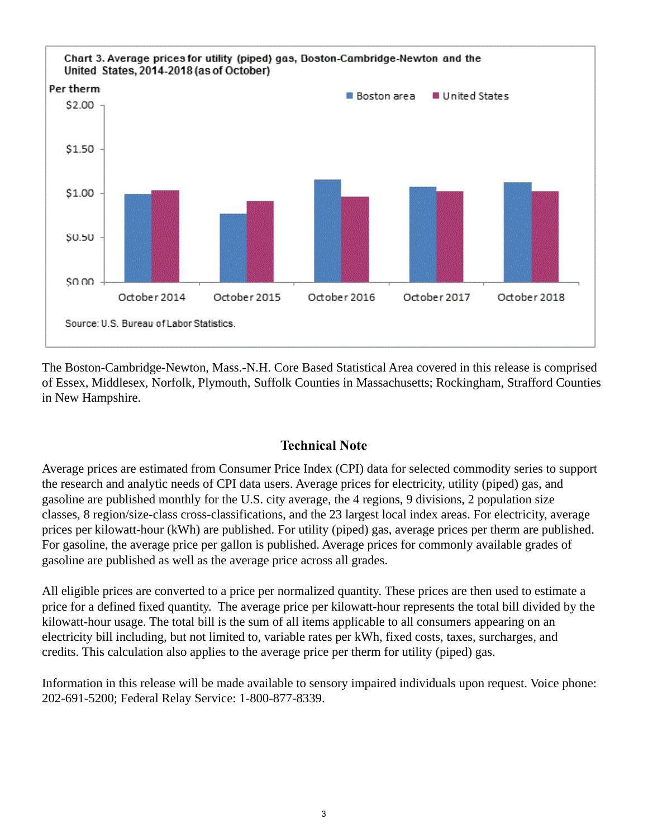

The Boston-Cambridge-Newton, Mass.-N.H. Core Based Statistical Area covered in this release is comprised of Essex, Middlesex, Norfolk, Plymouth, Suffolk Counties in Massachusetts; Rockingham, Strafford Counties in New Hampshire.

## **Technical Note**

Average prices are estimated from Consumer Price Index (CPI) data for selected commodity series to support the research and analytic needs of CPI data users. Average prices for electricity, utility (piped) gas, and gasoline are published monthly for the U.S. city average, the 4 regions, 9 divisions, 2 population size classes, 8 region/size-class cross-classifications, and the 23 largest local index areas. For electricity, average prices per kilowatt-hour (kWh) are published. For utility (piped) gas, average prices per therm are published. For gasoline, the average price per gallon is published. Average prices for commonly available grades of gasoline are published as well as the average price across all grades.

All eligible prices are converted to a price per normalized quantity. These prices are then used to estimate a price for a defined fixed quantity. The average price per kilowatt-hour represents the total bill divided by the kilowatt-hour usage. The total bill is the sum of all items applicable to all consumers appearing on an electricity bill including, but not limited to, variable rates per kWh, fixed costs, taxes, surcharges, and credits. This calculation also applies to the average price per therm for utility (piped) gas.

Information in this release will be made available to sensory impaired individuals upon request. Voice phone: 202-691-5200; Federal Relay Service: 1-800-877-8339.